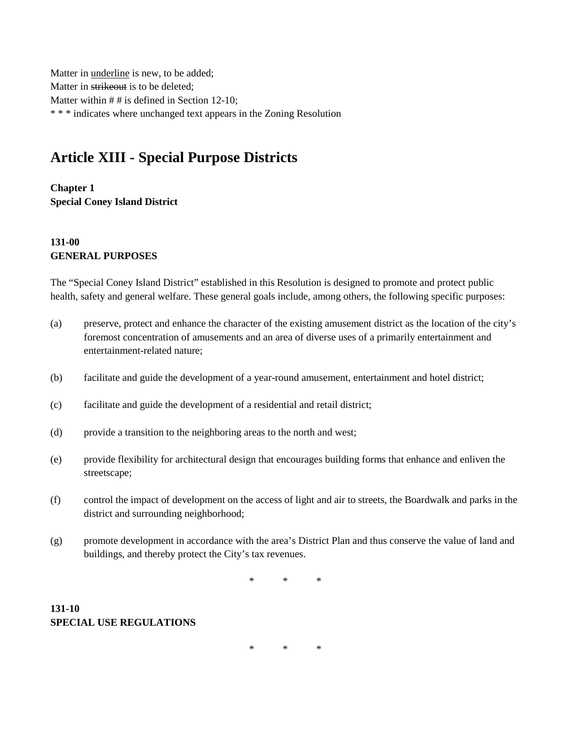Matter in underline is new, to be added; Matter in strikeout is to be deleted; Matter within # # is defined in Section 12-10; \* \* \* indicates where unchanged text appears in the Zoning Resolution

# **Article XIII - Special Purpose Districts**

**Chapter 1 Special Coney Island District**

# **131-00 GENERAL PURPOSES**

The "Special Coney Island District" established in this Resolution is designed to promote and protect public health, safety and general welfare. These general goals include, among others, the following specific purposes:

- (a) preserve, protect and enhance the character of the existing amusement district as the location of the city's foremost concentration of amusements and an area of diverse uses of a primarily entertainment and entertainment-related nature;
- (b) facilitate and guide the development of a year-round amusement, entertainment and hotel district;
- (c) facilitate and guide the development of a residential and retail district;
- (d) provide a transition to the neighboring areas to the north and west;
- (e) provide flexibility for architectural design that encourages building forms that enhance and enliven the streetscape;
- (f) control the impact of development on the access of light and air to streets, the Boardwalk and parks in the district and surrounding neighborhood;
- (g) promote development in accordance with the area's District Plan and thus conserve the value of land and buildings, and thereby protect the City's tax revenues.

\* \* \*

# **131-10 SPECIAL USE REGULATIONS**

\* \* \*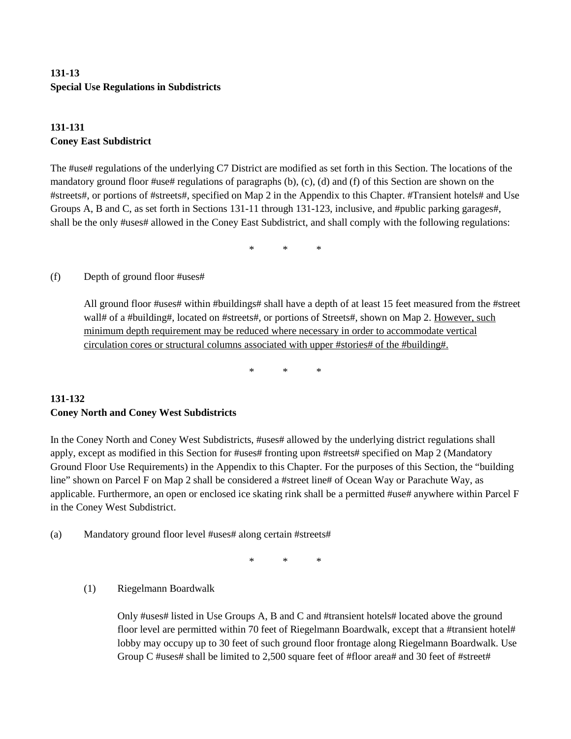# **131-13 Special Use Regulations in Subdistricts**

# **131-131 Coney East Subdistrict**

The #use# regulations of the underlying C7 District are modified as set forth in this Section. The locations of the mandatory ground floor #use# regulations of paragraphs (b), (c), (d) and (f) of this Section are shown on the #streets#, or portions of #streets#, specified on Map 2 in the Appendix to this Chapter. #Transient hotels# and Use Groups A, B and C, as set forth in Sections 131-11 through 131-123, inclusive, and #public parking garages#, shall be the only #uses# allowed in the Coney East Subdistrict, and shall comply with the following regulations:

\* \* \*

#### (f) Depth of ground floor #uses#

All ground floor #uses# within #buildings# shall have a depth of at least 15 feet measured from the #street wall# of a #building#, located on #streets#, or portions of Streets#, shown on Map 2. However, such minimum depth requirement may be reduced where necessary in order to accommodate vertical circulation cores or structural columns associated with upper #stories# of the #building#.

\* \* \*

### **131-132 Coney North and Coney West Subdistricts**

In the Coney North and Coney West Subdistricts, #uses# allowed by the underlying district regulations shall apply, except as modified in this Section for #uses# fronting upon #streets# specified on Map 2 (Mandatory Ground Floor Use Requirements) in the Appendix to this Chapter. For the purposes of this Section, the "building line" shown on Parcel F on Map 2 shall be considered a #street line# of Ocean Way or Parachute Way, as applicable. Furthermore, an open or enclosed ice skating rink shall be a permitted #use# anywhere within Parcel F in the Coney West Subdistrict.

(a) Mandatory ground floor level #uses# along certain #streets#

\* \* \*

(1) Riegelmann Boardwalk

Only #uses# listed in Use Groups A, B and C and #transient hotels# located above the ground floor level are permitted within 70 feet of Riegelmann Boardwalk, except that a #transient hotel# lobby may occupy up to 30 feet of such ground floor frontage along Riegelmann Boardwalk. Use Group C #uses# shall be limited to 2,500 square feet of #floor area# and 30 feet of #street#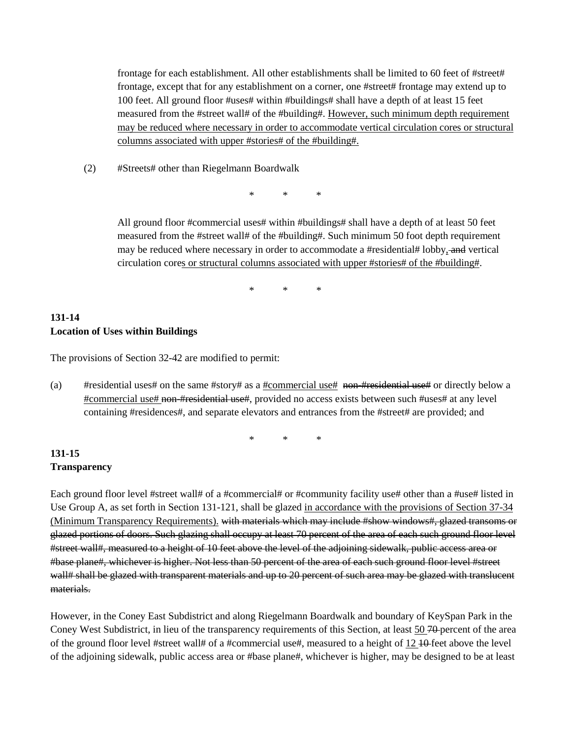frontage for each establishment. All other establishments shall be limited to 60 feet of #street# frontage, except that for any establishment on a corner, one #street# frontage may extend up to 100 feet. All ground floor #uses# within #buildings# shall have a depth of at least 15 feet measured from the #street wall# of the #building#. However, such minimum depth requirement may be reduced where necessary in order to accommodate vertical circulation cores or structural columns associated with upper #stories# of the #building#.

(2) #Streets# other than Riegelmann Boardwalk

\* \* \*

All ground floor #commercial uses# within #buildings# shall have a depth of at least 50 feet measured from the #street wall# of the #building#. Such minimum 50 foot depth requirement may be reduced where necessary in order to accommodate a #residential# lobby, and vertical circulation cores or structural columns associated with upper #stories# of the #building#.

\* \* \*

# **131-14 Location of Uses within Buildings**

The provisions of Section 32-42 are modified to permit:

(a) #residential uses# on the same #story# as a #commercial use# non-#residential use# or directly below a #commercial use# non-#residential use#, provided no access exists between such #uses# at any level containing #residences#, and separate elevators and entrances from the #street# are provided; and

\* \* \*

#### **131-15 Transparency**

Each ground floor level #street wall# of a #commercial# or #community facility use# other than a #use# listed in Use Group A, as set forth in Section 131-121, shall be glazed in accordance with the provisions of Section 37-34 (Minimum Transparency Requirements). with materials which may include #show windows#, glazed transoms or glazed portions of doors. Such glazing shall occupy at least 70 percent of the area of each such ground floor level #street wall#, measured to a height of 10 feet above the level of the adjoining sidewalk, public access area or #base plane#, whichever is higher. Not less than 50 percent of the area of each such ground floor level #street wall# shall be glazed with transparent materials and up to 20 percent of such area may be glazed with translucent materials.

However, in the Coney East Subdistrict and along Riegelmann Boardwalk and boundary of KeySpan Park in the Coney West Subdistrict, in lieu of the transparency requirements of this Section, at least 50 70 percent of the area of the ground floor level #street wall# of a #commercial use#, measured to a height of 12 10 feet above the level of the adjoining sidewalk, public access area or #base plane#, whichever is higher, may be designed to be at least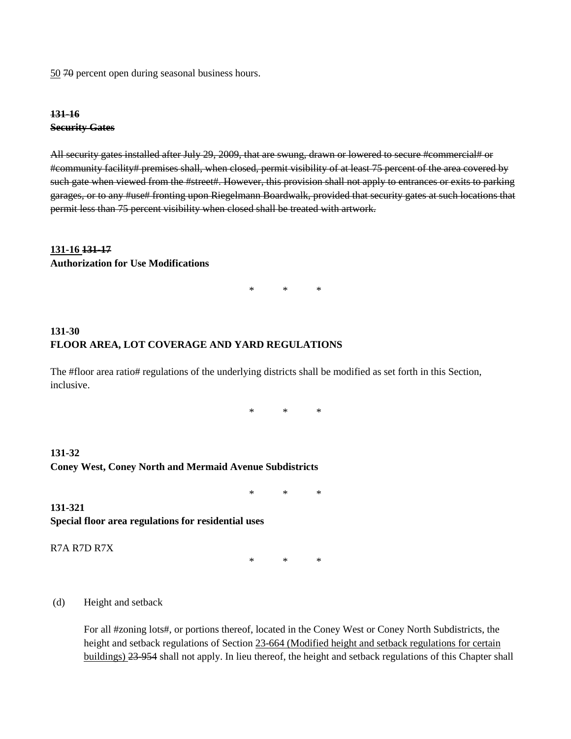50 70 percent open during seasonal business hours.

#### **131-16 Security Gates**

All security gates installed after July 29, 2009, that are swung, drawn or lowered to secure #commercial# or #community facility# premises shall, when closed, permit visibility of at least 75 percent of the area covered by such gate when viewed from the #street#. However, this provision shall not apply to entrances or exits to parking garages, or to any #use# fronting upon Riegelmann Boardwalk, provided that security gates at such locations that permit less than 75 percent visibility when closed shall be treated with artwork.

#### **131-16 131-17**

#### **Authorization for Use Modifications**

\* \* \*

### **131-30 FLOOR AREA, LOT COVERAGE AND YARD REGULATIONS**

The #floor area ratio# regulations of the underlying districts shall be modified as set forth in this Section, inclusive.

\* \* \*

### **131-32 Coney West, Coney North and Mermaid Avenue Subdistricts**

\* \* \*

**131-321 Special floor area regulations for residential uses**

R7A R7D R7X

\* \* \*

(d) Height and setback

For all #zoning lots#, or portions thereof, located in the Coney West or Coney North Subdistricts, the height and setback regulations of Section 23-664 (Modified height and setback regulations for certain buildings) 23-954 shall not apply. In lieu thereof, the height and setback regulations of this Chapter shall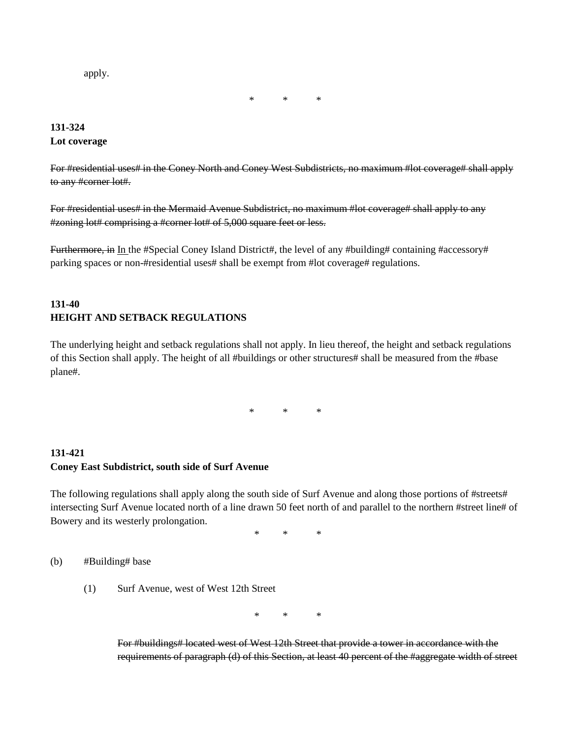apply.

\* \* \*

# **131-324 Lot coverage**

For #residential uses# in the Coney North and Coney West Subdistricts, no maximum #lot coverage# shall apply to any #corner lot#.

For #residential uses# in the Mermaid Avenue Subdistrict, no maximum #lot coverage# shall apply to any #zoning lot# comprising a #corner lot# of 5,000 square feet or less.

Furthermore, in In the #Special Coney Island District#, the level of any #building# containing #accessory# parking spaces or non-#residential uses# shall be exempt from #lot coverage# regulations.

# **131-40 HEIGHT AND SETBACK REGULATIONS**

The underlying height and setback regulations shall not apply. In lieu thereof, the height and setback regulations of this Section shall apply. The height of all #buildings or other structures# shall be measured from the #base plane#.

\* \* \*

### **131-421 Coney East Subdistrict, south side of Surf Avenue**

The following regulations shall apply along the south side of Surf Avenue and along those portions of #streets# intersecting Surf Avenue located north of a line drawn 50 feet north of and parallel to the northern #street line# of Bowery and its westerly prolongation.

\* \* \*

(b) #Building# base

(1) Surf Avenue, west of West 12th Street

\* \* \*

For #buildings# located west of West 12th Street that provide a tower in accordance with the requirements of paragraph (d) of this Section, at least 40 percent of the #aggregate width of street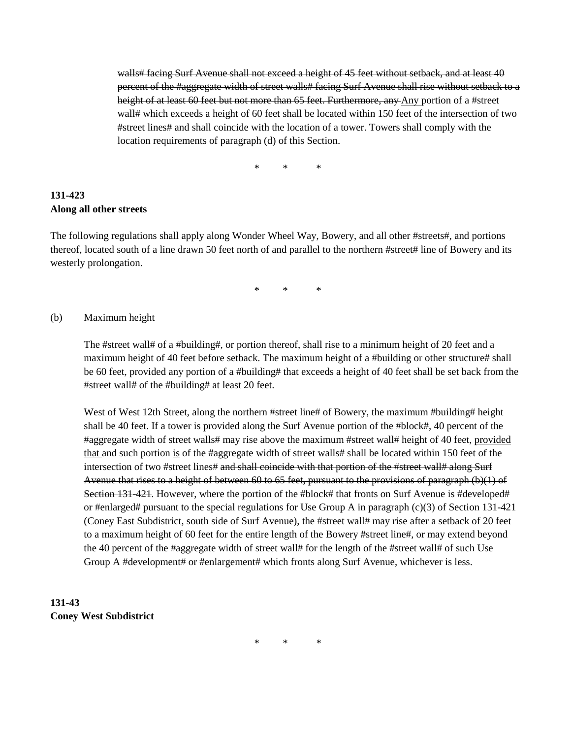walls# facing Surf Avenue shall not exceed a height of 45 feet without setback, and at least 40 percent of the #aggregate width of street walls# facing Surf Avenue shall rise without setback to a height of at least 60 feet but not more than 65 feet. Furthermore, any Any portion of a #street wall# which exceeds a height of 60 feet shall be located within 150 feet of the intersection of two #street lines# and shall coincide with the location of a tower. Towers shall comply with the location requirements of paragraph (d) of this Section.

\* \* \*

# **131-423 Along all other streets**

The following regulations shall apply along Wonder Wheel Way, Bowery, and all other #streets#, and portions thereof, located south of a line drawn 50 feet north of and parallel to the northern #street# line of Bowery and its westerly prolongation.

\* \* \*

#### (b) Maximum height

The #street wall# of a #building#, or portion thereof, shall rise to a minimum height of 20 feet and a maximum height of 40 feet before setback. The maximum height of a #building or other structure# shall be 60 feet, provided any portion of a #building# that exceeds a height of 40 feet shall be set back from the #street wall# of the #building# at least 20 feet.

West of West 12th Street, along the northern #street line# of Bowery, the maximum #building# height shall be 40 feet. If a tower is provided along the Surf Avenue portion of the #block#, 40 percent of the #aggregate width of street walls# may rise above the maximum #street wall# height of 40 feet, provided that and such portion is of the #aggregate width of street walls# shall be located within 150 feet of the intersection of two #street lines# and shall coincide with that portion of the #street wall# along Surf Avenue that rises to a height of between 60 to 65 feet, pursuant to the provisions of paragraph (b)(1) of Section 131-421. However, where the portion of the #block# that fronts on Surf Avenue is #developed# or #enlarged# pursuant to the special regulations for Use Group A in paragraph (c)(3) of Section 131-421 (Coney East Subdistrict, south side of Surf Avenue), the #street wall# may rise after a setback of 20 feet to a maximum height of 60 feet for the entire length of the Bowery #street line#, or may extend beyond the 40 percent of the #aggregate width of street wall# for the length of the #street wall# of such Use Group A #development# or #enlargement# which fronts along Surf Avenue, whichever is less.

# **131-43 Coney West Subdistrict**

\* \* \*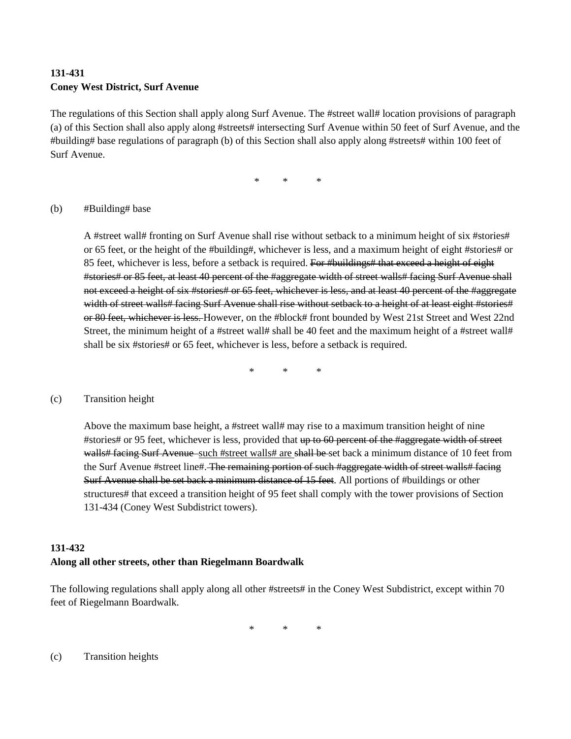# **131-431 Coney West District, Surf Avenue**

The regulations of this Section shall apply along Surf Avenue. The #street wall# location provisions of paragraph (a) of this Section shall also apply along #streets# intersecting Surf Avenue within 50 feet of Surf Avenue, and the #building# base regulations of paragraph (b) of this Section shall also apply along #streets# within 100 feet of Surf Avenue.

\* \* \*

#### (b) #Building# base

A #street wall# fronting on Surf Avenue shall rise without setback to a minimum height of six #stories# or 65 feet, or the height of the #building#, whichever is less, and a maximum height of eight #stories# or 85 feet, whichever is less, before a setback is required. For #buildings# that exceed a height of eight #stories# or 85 feet, at least 40 percent of the #aggregate width of street walls# facing Surf Avenue shall not exceed a height of six #stories# or 65 feet, whichever is less, and at least 40 percent of the #aggregate width of street walls# facing Surf Avenue shall rise without setback to a height of at least eight #stories# or 80 feet, whichever is less. However, on the #block# front bounded by West 21st Street and West 22nd Street, the minimum height of a #street wall# shall be 40 feet and the maximum height of a #street wall# shall be six #stories# or 65 feet, whichever is less, before a setback is required.

\* \* \*

#### (c) Transition height

Above the maximum base height, a #street wall# may rise to a maximum transition height of nine #stories# or 95 feet, whichever is less, provided that up to 60 percent of the #aggregate width of street walls# facing Surf Avenue such #street walls# are shall be set back a minimum distance of 10 feet from the Surf Avenue #street line#. The remaining portion of such #aggregate width of street walls# facing Surf Avenue shall be set back a minimum distance of 15 feet. All portions of #buildings or other structures# that exceed a transition height of 95 feet shall comply with the tower provisions of Section 131-434 (Coney West Subdistrict towers).

# **131-432 Along all other streets, other than Riegelmann Boardwalk**

The following regulations shall apply along all other #streets# in the Coney West Subdistrict, except within 70 feet of Riegelmann Boardwalk.

\* \* \*

(c) Transition heights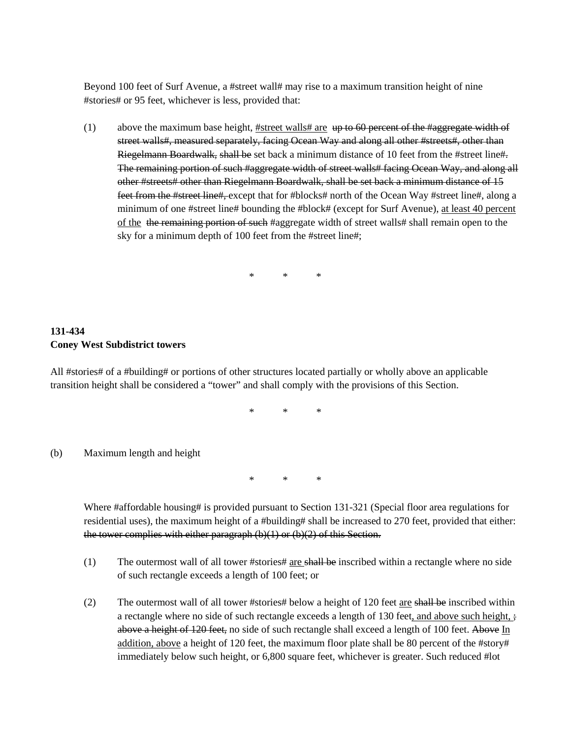Beyond 100 feet of Surf Avenue, a #street wall# may rise to a maximum transition height of nine #stories# or 95 feet, whichever is less, provided that:

(1) above the maximum base height, #street walls# are  $up$  to 60 percent of the #aggregate width of street walls#, measured separately, facing Ocean Way and along all other #streets#, other than Riegelmann Boardwalk, shall be set back a minimum distance of 10 feet from the #street line#. The remaining portion of such #aggregate width of street walls# facing Ocean Way, and along all other #streets# other than Riegelmann Boardwalk, shall be set back a minimum distance of 15 feet from the #street line#, except that for #blocks# north of the Ocean Way #street line#, along a minimum of one #street line# bounding the #block# (except for Surf Avenue), at least 40 percent of the the remaining portion of such #aggregate width of street walls# shall remain open to the sky for a minimum depth of 100 feet from the #street line#;

\* \* \*

# **131-434 Coney West Subdistrict towers**

All #stories# of a #building# or portions of other structures located partially or wholly above an applicable transition height shall be considered a "tower" and shall comply with the provisions of this Section.

\* \* \*

(b) Maximum length and height

\* \* \*

Where #affordable housing# is provided pursuant to Section 131-321 (Special floor area regulations for residential uses), the maximum height of a #building# shall be increased to 270 feet, provided that either: the tower complies with either paragraph  $(b)(1)$  or  $(b)(2)$  of this Section.

- (1) The outermost wall of all tower #stories#  $\frac{1}{\text{arc}}$  shall be inscribed within a rectangle where no side of such rectangle exceeds a length of 100 feet; or
- (2) The outermost wall of all tower #stories# below a height of 120 feet are shall be inscribed within a rectangle where no side of such rectangle exceeds a length of 130 feet, and above such height,  $\frac{1}{2}$ above a height of 120 feet, no side of such rectangle shall exceed a length of 100 feet. Above In addition, above a height of 120 feet, the maximum floor plate shall be 80 percent of the #story# immediately below such height, or 6,800 square feet, whichever is greater. Such reduced #lot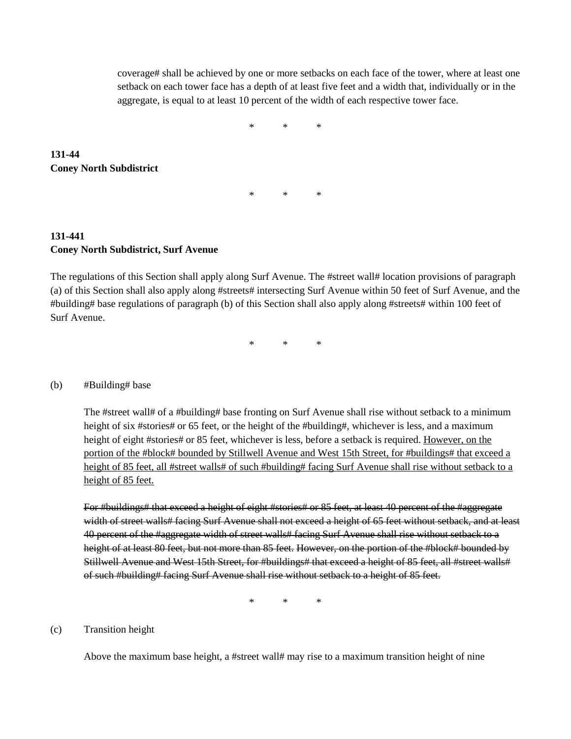coverage# shall be achieved by one or more setbacks on each face of the tower, where at least one setback on each tower face has a depth of at least five feet and a width that, individually or in the aggregate, is equal to at least 10 percent of the width of each respective tower face.

\* \* \*

\* \* \*

# **131-44 Coney North Subdistrict**

# **131-441 Coney North Subdistrict, Surf Avenue**

The regulations of this Section shall apply along Surf Avenue. The #street wall# location provisions of paragraph (a) of this Section shall also apply along #streets# intersecting Surf Avenue within 50 feet of Surf Avenue, and the #building# base regulations of paragraph (b) of this Section shall also apply along #streets# within 100 feet of Surf Avenue.

\* \* \*

#### (b) #Building# base

The #street wall# of a #building# base fronting on Surf Avenue shall rise without setback to a minimum height of six #stories# or 65 feet, or the height of the #building#, whichever is less, and a maximum height of eight #stories# or 85 feet, whichever is less, before a setback is required. However, on the portion of the #block# bounded by Stillwell Avenue and West 15th Street, for #buildings# that exceed a height of 85 feet, all #street walls# of such #building# facing Surf Avenue shall rise without setback to a height of 85 feet.

For #buildings# that exceed a height of eight #stories# or 85 feet, at least 40 percent of the #aggregate width of street walls# facing Surf Avenue shall not exceed a height of 65 feet without setback, and at least 40 percent of the #aggregate width of street walls# facing Surf Avenue shall rise without setback to a height of at least 80 feet, but not more than 85 feet. However, on the portion of the #block# bounded by Stillwell Avenue and West 15th Street, for #buildings# that exceed a height of 85 feet, all #street walls# of such #building# facing Surf Avenue shall rise without setback to a height of 85 feet.

\* \* \*

#### (c) Transition height

Above the maximum base height, a #street wall# may rise to a maximum transition height of nine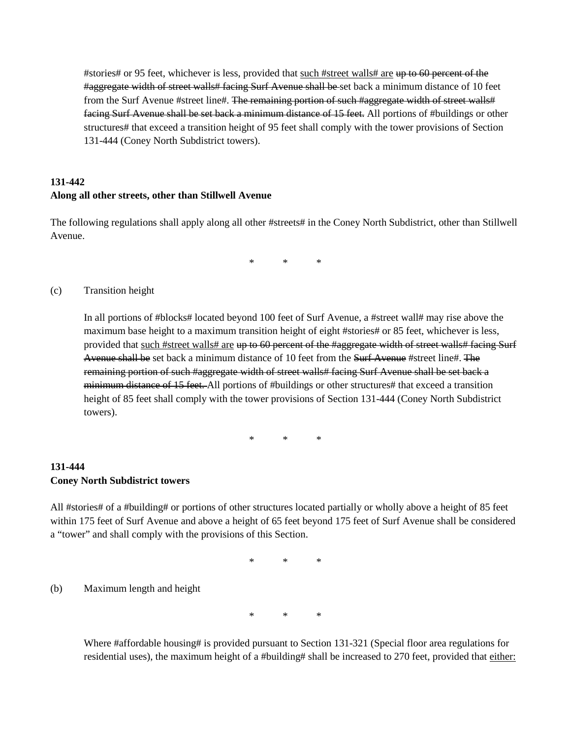#stories# or 95 feet, whichever is less, provided that such #street walls# are up to 60 percent of the #aggregate width of street walls# facing Surf Avenue shall be set back a minimum distance of 10 feet from the Surf Avenue #street line#. The remaining portion of such #aggregate width of street walls# facing Surf Avenue shall be set back a minimum distance of 15 feet. All portions of #buildings or other structures# that exceed a transition height of 95 feet shall comply with the tower provisions of Section 131-444 (Coney North Subdistrict towers).

# **131-442 Along all other streets, other than Stillwell Avenue**

The following regulations shall apply along all other #streets# in the Coney North Subdistrict, other than Stillwell Avenue.

\* \* \*

#### (c) Transition height

In all portions of #blocks# located beyond 100 feet of Surf Avenue, a #street wall# may rise above the maximum base height to a maximum transition height of eight #stories# or 85 feet, whichever is less, provided that such #street walls# are up to 60 percent of the #aggregate width of street walls# facing Surf Avenue shall be set back a minimum distance of 10 feet from the Surf Avenue #street line#. The remaining portion of such #aggregate width of street walls# facing Surf Avenue shall be set back a minimum distance of 15 feet. All portions of #buildings or other structures# that exceed a transition height of 85 feet shall comply with the tower provisions of Section 131-444 (Coney North Subdistrict towers).

\* \* \*

### **131-444 Coney North Subdistrict towers**

All #stories# of a #building# or portions of other structures located partially or wholly above a height of 85 feet within 175 feet of Surf Avenue and above a height of 65 feet beyond 175 feet of Surf Avenue shall be considered a "tower" and shall comply with the provisions of this Section.

\* \* \*

(b) Maximum length and height

\* \* \*

Where #affordable housing# is provided pursuant to Section 131-321 (Special floor area regulations for residential uses), the maximum height of a #building# shall be increased to 270 feet, provided that either: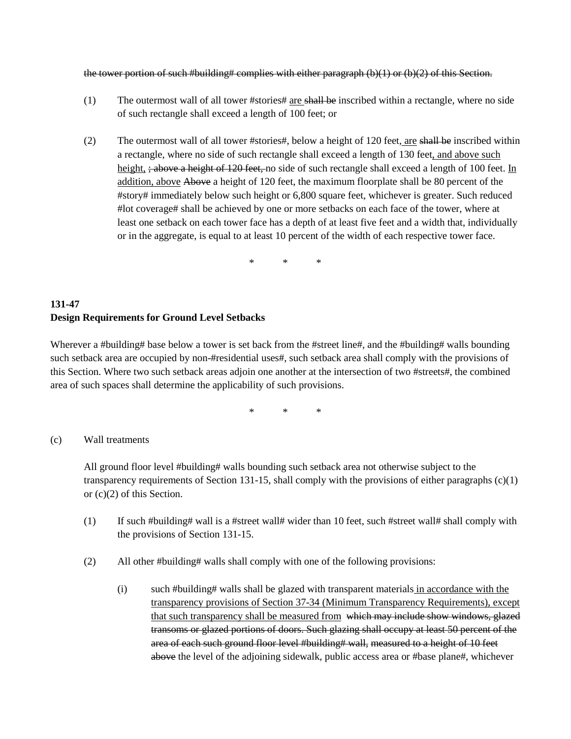the tower portion of such #building# complies with either paragraph (b)(1) or (b)(2) of this Section.

- (1) The outermost wall of all tower #stories#  $\frac{1}{\text{arc shell}}$  be inscribed within a rectangle, where no side of such rectangle shall exceed a length of 100 feet; or
- (2) The outermost wall of all tower #stories#, below a height of 120 feet, are shall be inscribed within a rectangle, where no side of such rectangle shall exceed a length of 130 feet, and above such height,  $\frac{1}{2}$  above a height of 120 feet, no side of such rectangle shall exceed a length of 100 feet. In addition, above Above a height of 120 feet, the maximum floorplate shall be 80 percent of the #story# immediately below such height or 6,800 square feet, whichever is greater. Such reduced #lot coverage# shall be achieved by one or more setbacks on each face of the tower, where at least one setback on each tower face has a depth of at least five feet and a width that, individually or in the aggregate, is equal to at least 10 percent of the width of each respective tower face.

\* \* \*

# **131-47 Design Requirements for Ground Level Setbacks**

Wherever a #building# base below a tower is set back from the #street line#, and the #building# walls bounding such setback area are occupied by non-#residential uses#, such setback area shall comply with the provisions of this Section. Where two such setback areas adjoin one another at the intersection of two #streets#, the combined area of such spaces shall determine the applicability of such provisions.

\* \* \*

#### (c) Wall treatments

All ground floor level #building# walls bounding such setback area not otherwise subject to the transparency requirements of Section 131-15, shall comply with the provisions of either paragraphs (c)(1) or (c)(2) of this Section.

- (1) If such #building# wall is a #street wall# wider than 10 feet, such #street wall# shall comply with the provisions of Section 131-15.
- (2) All other #building# walls shall comply with one of the following provisions:
	- (i) such #building# walls shall be glazed with transparent materials in accordance with the transparency provisions of Section 37-34 (Minimum Transparency Requirements), except that such transparency shall be measured from which may include show windows, glazed transoms or glazed portions of doors. Such glazing shall occupy at least 50 percent of the area of each such ground floor level #building# wall, measured to a height of 10 feet above the level of the adjoining sidewalk, public access area or #base plane#, whichever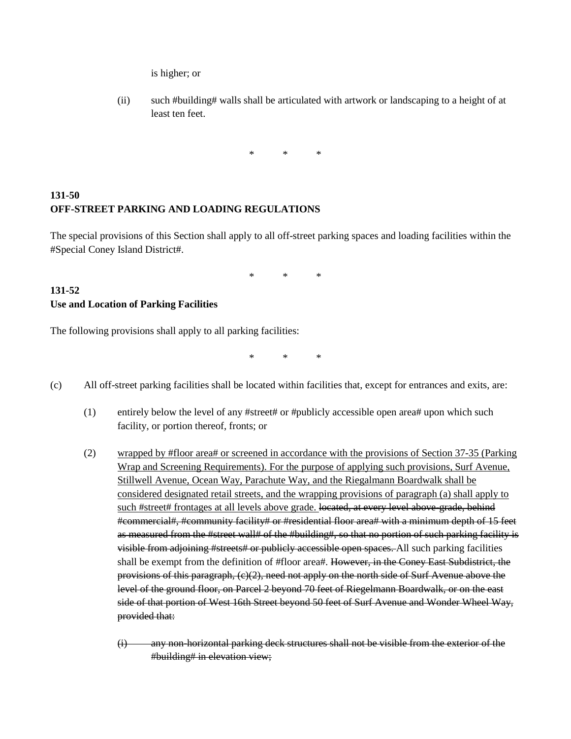is higher; or

(ii) such #building# walls shall be articulated with artwork or landscaping to a height of at least ten feet.

\* \* \*

# **131-50 OFF-STREET PARKING AND LOADING REGULATIONS**

The special provisions of this Section shall apply to all off-street parking spaces and loading facilities within the #Special Coney Island District#.

\* \* \*

#### **131-52 Use and Location of Parking Facilities**

The following provisions shall apply to all parking facilities:

\* \* \*

- (c) All off-street parking facilities shall be located within facilities that, except for entrances and exits, are:
	- (1) entirely below the level of any #street# or #publicly accessible open area# upon which such facility, or portion thereof, fronts; or
	- (2) wrapped by #floor area# or screened in accordance with the provisions of Section 37-35 (Parking Wrap and Screening Requirements). For the purpose of applying such provisions, Surf Avenue, Stillwell Avenue, Ocean Way, Parachute Way, and the Riegalmann Boardwalk shall be considered designated retail streets, and the wrapping provisions of paragraph (a) shall apply to such #street# frontages at all levels above grade. located, at every level above-grade, behind #commercial#, #community facility# or #residential floor area# with a minimum depth of 15 feet as measured from the #street wall# of the #building#, so that no portion of such parking facility is visible from adjoining #streets# or publicly accessible open spaces. All such parking facilities shall be exempt from the definition of #floor area#. However, in the Coney East Subdistrict, the provisions of this paragraph, (c)(2), need not apply on the north side of Surf Avenue above the level of the ground floor, on Parcel 2 beyond 70 feet of Riegelmann Boardwalk, or on the east side of that portion of West 16th Street beyond 50 feet of Surf Avenue and Wonder Wheel Way, provided that:
		- (i) any non-horizontal parking deck structures shall not be visible from the exterior of the #building# in elevation view;